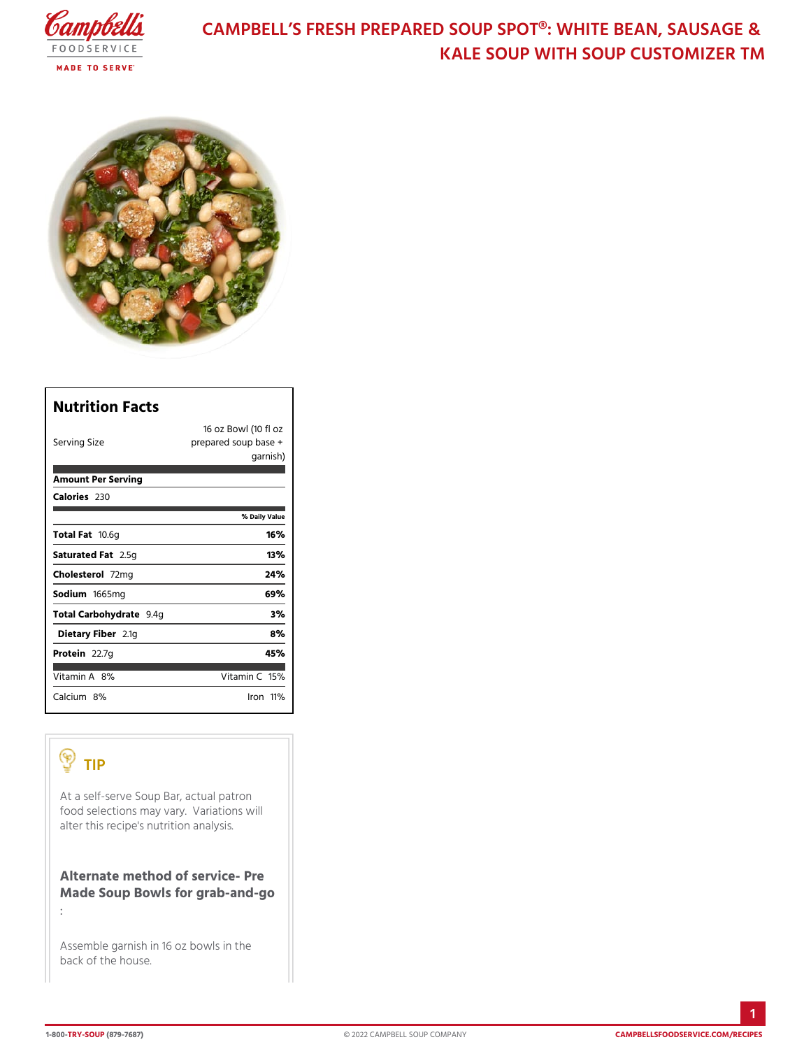# CAMPBELL S FRESH PREPARED SOUP SPOT®: KALE SOUP WITH SOUP CUS

| Nutrition Facts          |                                                            |
|--------------------------|------------------------------------------------------------|
| Serving Size             | 16 oz Bowl (110 fl oz<br>prepared soup base +<br>garni\$h) |
| Amount Per Serving       |                                                            |
| Calorie2s30              |                                                            |
|                          | % Daily Vallue                                             |
| Total Fao.6g             | 16%                                                        |
| Saturated 2F.55 tg       | 13%                                                        |
| Choleste <b>7</b> @ Im g | 24 %                                                       |
| Sodium 665mg             | 69%                                                        |
| Total Carbohy9d.r4age    | 3%                                                         |
| Dietary F2ib1egr         | 8%                                                         |
| Protei <sub>2.7g</sub>   | 45%                                                        |
| Vitamin8A%               | Vitamin16 <sup>1</sup> %                                   |
| Calciu&n%                | <u>lron 11%</u>                                            |

## TIP

At a self-serve Soup Bar, actual patron food selections may vary. Variations will alter this recipe's nutrition analysis.

Alternate method of service- Pre Made Soup Bowls for grab-and-go

Assemble garnish in 16 oz  $\vert$ bowls in the back of the house.

: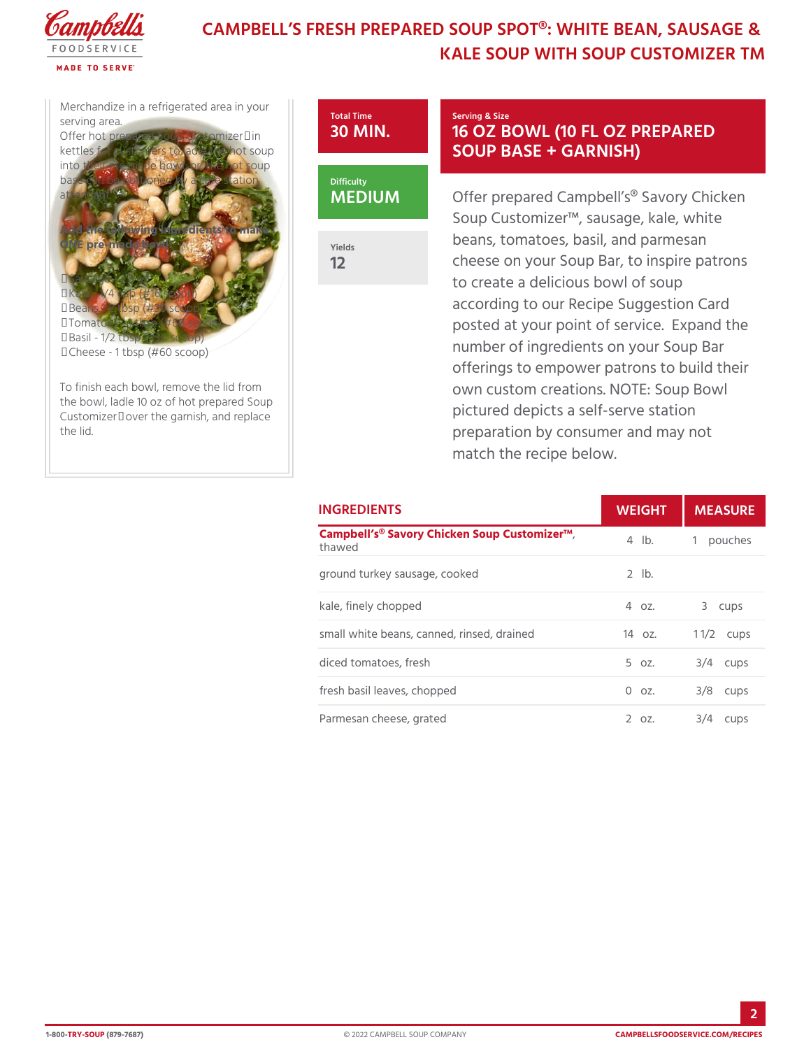# CAMPBELL S FRESH PREPARED SOUP SPOT®: KALE SOUP WITH SOUP CUS

Merchandize in a refrigerated serving area. Offer hot prepared Soup Custo kettles for customers to ladle into their pre made bowl;  $\mathsf{d} \mathsf{r}$ , t base can be portioned by  $a|ca|$ attendant.



Yields 12

Add the following ingredients to make ONE pre-made bowl:

• Sausage - 2.5 oz

- Kale 1/4 cup (#16 scoop)
- Beans 2 tbsp (#30 scoop)
- Tomatoes 1 tbsp  $(\#60 \text{ s}$  $]$ coop)
- Basil 1/2 tbsp (#30 scoop)
- Cheese 1 tbsp  $(\#60 \text{ sco}|\phi p)$

To finish each bowl, remove the lid from the bowl, ladle 10 oz of hot prepared Soup Customizer™ over the garnish, and replace the lid.

### Serving & Size 16 OZ BOWL (10 FL OZ I SOUP BASE + GARNISH)

Offer prepared Campbell s® Say Soup Customizer!", sausage, kal beans, tomatoes, basil, and par cheese on your Soup Bar, to inst to create a delicious bowl of so according to our Recipe Sugges posted at your point of service. number of ingredients on your S offerings to empower patrons to own custom creations.  $NOTE: S$ pictured depicts a self-serve st preparation by consumer and m match the recipe below.

## INGREDIENTS WEIGH MEASURE

| Campbell s® Savory Chicken Soup Cystomizer!" pouches<br>thawed |            |                                     |
|----------------------------------------------------------------|------------|-------------------------------------|
| ground turkey sausage, cooked                                  | $2$ $1b$ . |                                     |
| kale, finely chopped                                           |            | 4 oz. 3 cups                        |
| small white beans, canned, rinsed, draoized 1 1/2 ups          |            |                                     |
| diced tomatoes, fresh                                          |            | $5$ $oz.$ $3/4$ $cups$              |
| fresh basil leaves, chopped                                    |            | $0$ $0$ $2$ . $3/8$ $0$ $0$ $0$ $5$ |
| Parmesan cheese, grated                                        |            | 2 oz. 3/4 cups                      |